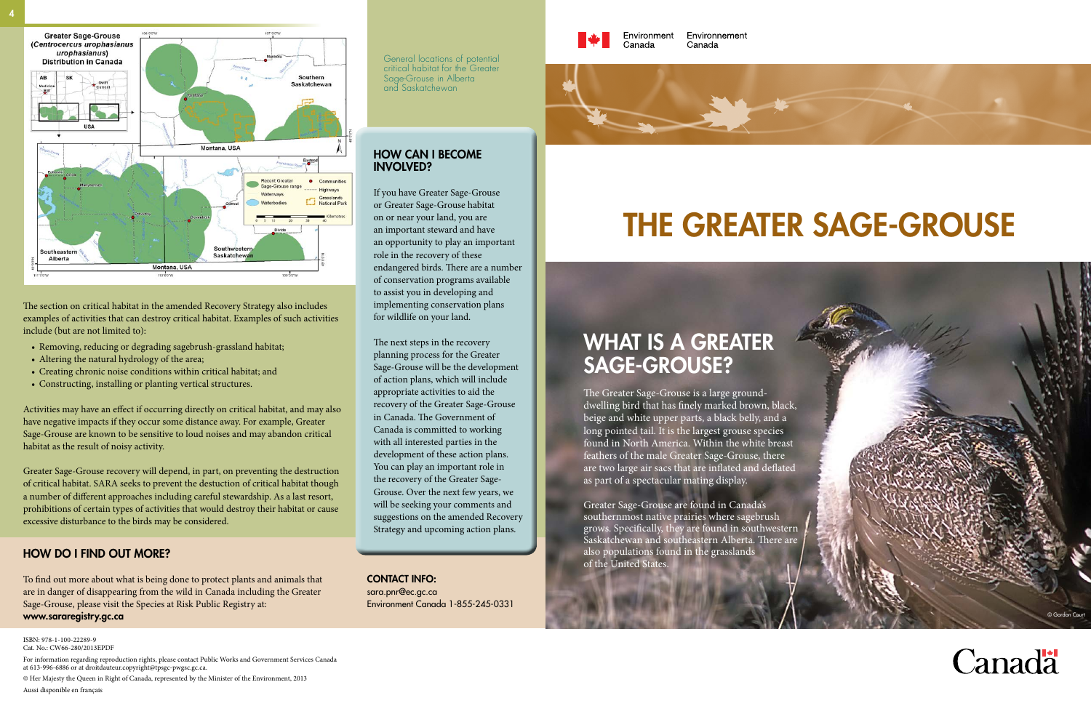The section on critical habitat in the amended Recovery Strategy also includes examples of activities that can destroy critical habitat. Examples of such activities include (but are not limited to):

- Removing, reducing or degrading sagebrush-grassland habitat;
- Altering the natural hydrology of the area;
- Creating chronic noise conditions within critical habitat; and
- • Constructing, installing or planting vertical structures.

Activities may have an effect if occurring directly on critical habitat, and may also have negative impacts if they occur some distance away. For example, Greater Sage-Grouse are known to be sensitive to loud noises and may abandon critical habitat as the result of noisy activity.

Greater Sage-Grouse recovery will depend, in part, on preventing the destruction of critical habitat. SARA seeks to prevent the destuction of critical habitat though a number of different approaches including careful stewardship. As a last resort, prohibitions of certain types of activities that would destroy their habitat or cause excessive disturbance to the birds may be considered.

#### How do I find out more?

To find out more about what is being done to protect plants and animals that are in danger of disappearing from the wild in Canada including the Greater Sage-Grouse, please visit the Species at Risk Public Registry at: <www.sararegistry.gc.ca>



The Greater Sage-Grouse is a large grounddwelling bird that has finely marked brown, black, beige and white upper parts, a black belly, and a long pointed tail. It is the largest grouse species found in North America. Within the white breast feathers of the male Greater Sage-Grouse, there are two large air sacs that are inflated and deflated as part of a spectacular mating display.

Greater Sage-Grouse are found in Canada's southernmost native prairies where sagebrush grows. Specifically, they are found in southwestern Saskatchewan and southeastern Alberta. There are also populations found in the grasslands of the United States.

Contact info: sara.pnr@ec.gc.ca Environment Canada 1-855-245-0331



Environnement Canada



General locations of potential critical habitat for the Greater Sage-Grouse in Alberta and Saskatchewan

#### How can I BECOME involved?

If you have Greater Sage-Grouse or Greater Sage-Grouse habitat on or near your land, you are an important steward and have an opportunity to play an important role in the recovery of these endangered birds. There are a number of conservation programs available to assist you in developing and implementing conservation plans for wildlife on your land.

The next steps in the recovery planning process for the Greater Sage-Grouse will be the development of action plans, which will include appropriate activities to aid the recovery of the Greater Sage-Grouse in Canada. The Government of Canada is committed to working with all interested parties in the development of these action plans. You can play an important role in the recovery of the Greater Sage-Grouse. Over the next few years, we will be seeking your comments and suggestions on the amended Recovery Strategy and upcoming action plans.





ISBN: 978-1-100-22289-9 Cat. No.: CW66-280/2013EPDF

For information regarding reproduction rights, please contact Public Works and Government Services Canada at 613-996-6886 or at [droitdauteur.copyright@tpsgc-pwgsc.gc.ca.](droitdauteur.copyright@tpsgc-pwgsc.gc.ca)

© Her Majesty the Queen in Right of Canada, represented by the Minister of the Environment, 2013 Aussi disponible en français

# THE Greater Sage-Grouse

## WHAT IS A GREATER SAGE-GROUSE?